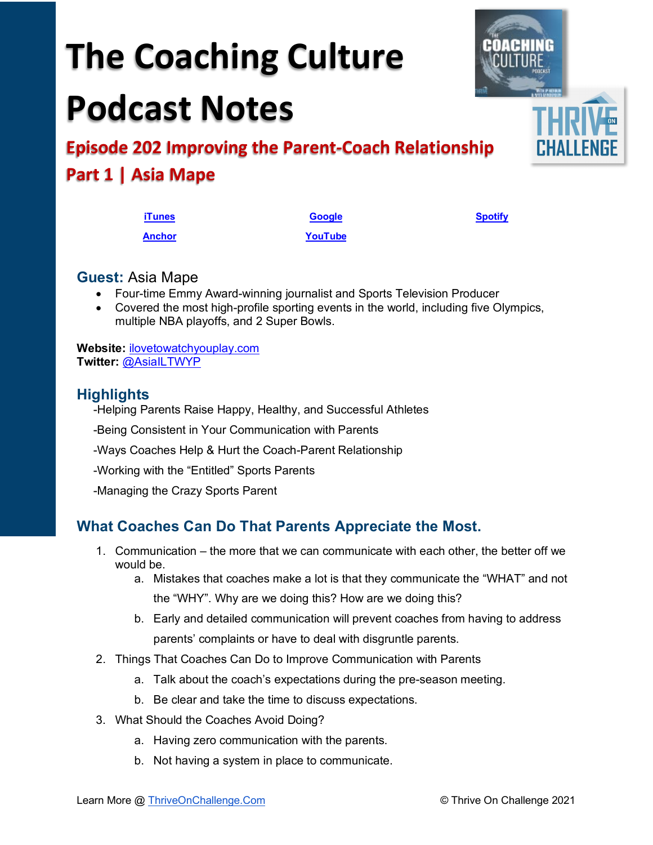# **The Coaching Culture Podcast Notes**

**[Anchor](https://tinyurl.com/4yhexz6d) [YouTube](https://youtu.be/UKi-ZfCC3HM)**

**Episode 202 Improving the Parent-Coach Relationship Part 1 | Asia Mape**

| <b>Guest: Asia Mape</b> |
|-------------------------|
|-------------------------|

- Four-time Emmy Award-winning journalist and Sports Television Producer
- Covered the most high-profile sporting events in the world, including five Olympics, multiple NBA playoffs, and 2 Super Bowls.

**Website:** [ilovetowatchyouplay.com](http://www.ilovetowatchyouplay.com/)  **Twitter:** [@AsiaILTWYP](https://twitter.com/asiailtwyp) 

#### **Highlights**

-Helping Parents Raise Happy, Healthy, and Successful Athletes

-Being Consistent in Your Communication with Parents

-Ways Coaches Help & Hurt the Coach-Parent Relationship

-Working with the "Entitled" Sports Parents

-Managing the Crazy Sports Parent

## **What Coaches Can Do That Parents Appreciate the Most.**

- 1. Communication the more that we can communicate with each other, the better off we would be.
	- a. Mistakes that coaches make a lot is that they communicate the "WHAT" and not the "WHY". Why are we doing this? How are we doing this?
	- b. Early and detailed communication will prevent coaches from having to address parents' complaints or have to deal with disgruntle parents.
- 2. Things That Coaches Can Do to Improve Communication with Parents
	- a. Talk about the coach's expectations during the pre-season meeting.
	- b. Be clear and take the time to discuss expectations.
- 3. What Should the Coaches Avoid Doing?
	- a. Having zero communication with the parents.
	- b. Not having a system in place to communicate.



**[iTunes](https://tinyurl.com/y68cvd4x) [Google](https://tinyurl.com/xhduf9bw) [Spotify](https://tinyurl.com/3sf9cp5h)**